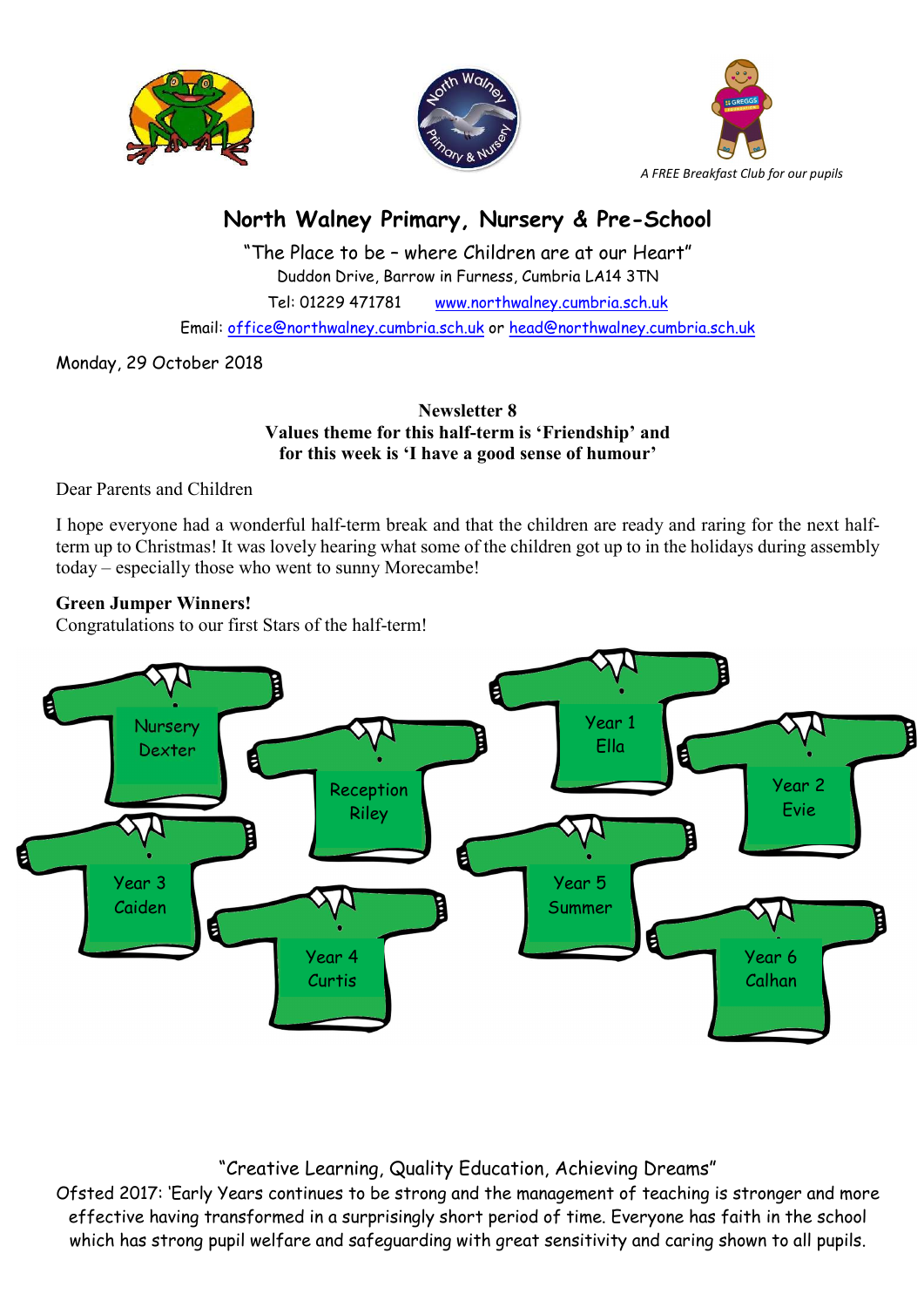





# North Walney Primary, Nursery & Pre-School

"The Place to be – where Children are at our Heart" Duddon Drive, Barrow in Furness, Cumbria LA14 3TN Tel: 01229 471781 www.northwalney.cumbria.sch.uk Email: office@northwalney.cumbria.sch.uk or head@northwalney.cumbria.sch.uk

Monday, 29 October 2018

Newsletter 8 Values theme for this half-term is 'Friendship' and for this week is 'I have a good sense of humour'

Dear Parents and Children

I hope everyone had a wonderful half-term break and that the children are ready and raring for the next halfterm up to Christmas! It was lovely hearing what some of the children got up to in the holidays during assembly today – especially those who went to sunny Morecambe!

## Green Jumper Winners!

Congratulations to our first Stars of the half-term!



## "Creative Learning, Quality Education, Achieving Dreams"

Ofsted 2017: 'Early Years continues to be strong and the management of teaching is stronger and more effective having transformed in a surprisingly short period of time. Everyone has faith in the school which has strong pupil welfare and safeguarding with great sensitivity and caring shown to all pupils.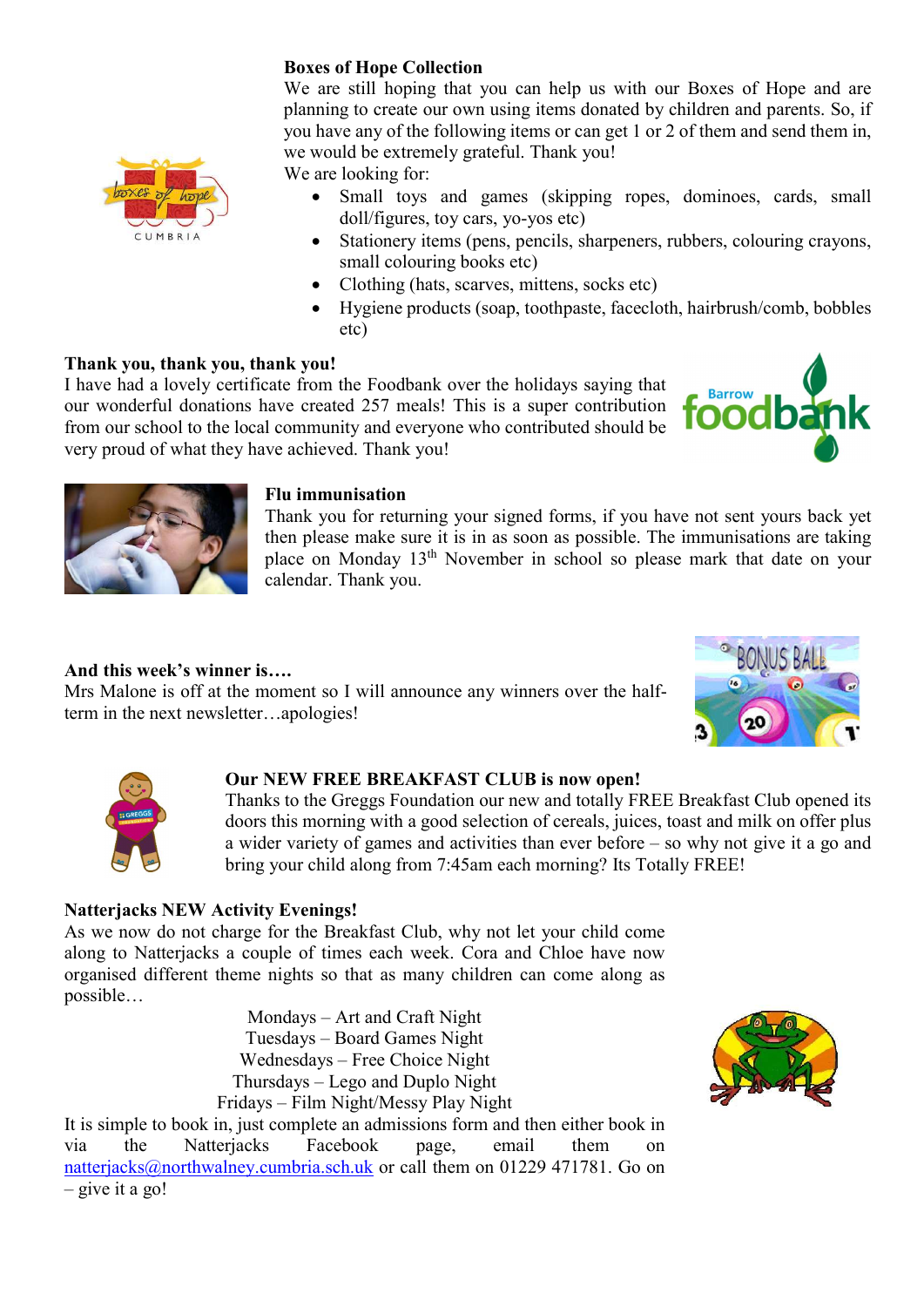## Boxes of Hope Collection

We are still hoping that you can help us with our Boxes of Hope and are planning to create our own using items donated by children and parents. So, if you have any of the following items or can get 1 or 2 of them and send them in, we would be extremely grateful. Thank you!

We are looking for:

- Small toys and games (skipping ropes, dominoes, cards, small doll/figures, toy cars, yo-yos etc)
- Stationery items (pens, pencils, sharpeners, rubbers, colouring crayons, small colouring books etc)
- Clothing (hats, scarves, mittens, socks etc)
- Hygiene products (soap, toothpaste, facecloth, hairbrush/comb, bobbles etc)

## Thank you, thank you, thank you!

I have had a lovely certificate from the Foodbank over the holidays saying that our wonderful donations have created 257 meals! This is a super contribution from our school to the local community and everyone who contributed should be very proud of what they have achieved. Thank you!





#### Flu immunisation

Thank you for returning your signed forms, if you have not sent yours back yet then please make sure it is in as soon as possible. The immunisations are taking place on Monday 13th November in school so please mark that date on your calendar. Thank you.

#### And this week's winner is….

Mrs Malone is off at the moment so I will announce any winners over the halfterm in the next newsletter…apologies!





#### Our NEW FREE BREAKFAST CLUB is now open!

Thanks to the Greggs Foundation our new and totally FREE Breakfast Club opened its doors this morning with a good selection of cereals, juices, toast and milk on offer plus a wider variety of games and activities than ever before – so why not give it a go and bring your child along from 7:45am each morning? Its Totally FREE!

#### Natterjacks NEW Activity Evenings!

As we now do not charge for the Breakfast Club, why not let your child come along to Natterjacks a couple of times each week. Cora and Chloe have now organised different theme nights so that as many children can come along as possible…

> Mondays – Art and Craft Night Tuesdays – Board Games Night Wednesdays – Free Choice Night Thursdays – Lego and Duplo Night Fridays – Film Night/Messy Play Night



It is simple to book in, just complete an admissions form and then either book in via the Natterjacks Facebook page, email them on natterjacks@northwalney.cumbria.sch.uk or call them on 01229 471781. Go on  $-$  give it a go!

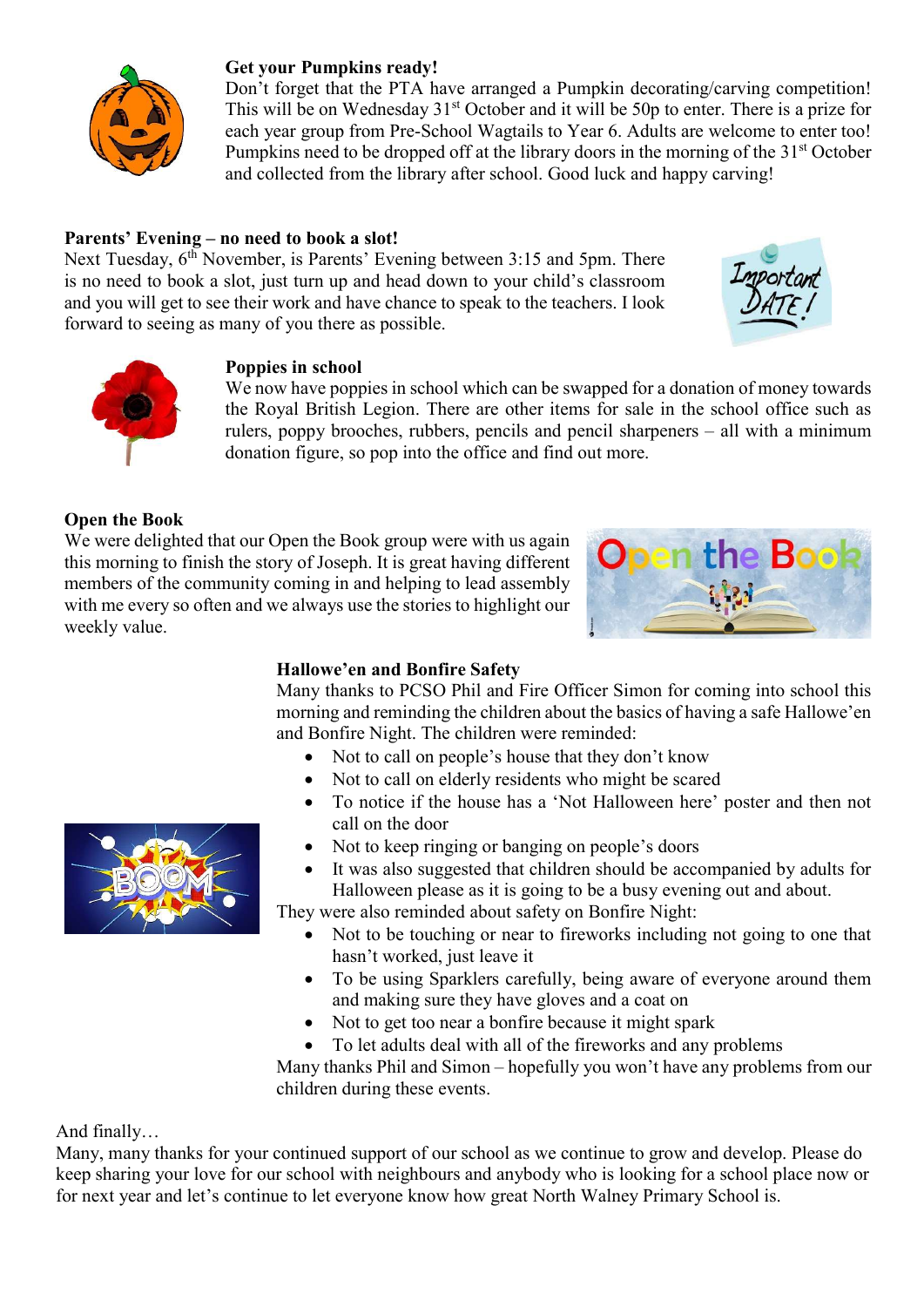

## Get your Pumpkins ready!

Don't forget that the PTA have arranged a Pumpkin decorating/carving competition! This will be on Wednesday  $31<sup>st</sup>$  October and it will be 50p to enter. There is a prize for each year group from Pre-School Wagtails to Year 6. Adults are welcome to enter too! Pumpkins need to be dropped off at the library doors in the morning of the 31<sup>st</sup> October and collected from the library after school. Good luck and happy carving!

## Parents' Evening – no need to book a slot!

Next Tuesday,  $6^{th}$  November, is Parents' Evening between 3:15 and 5pm. There is no need to book a slot, just turn up and head down to your child's classroom and you will get to see their work and have chance to speak to the teachers. I look forward to seeing as many of you there as possible.





## Poppies in school

We now have poppies in school which can be swapped for a donation of money towards the Royal British Legion. There are other items for sale in the school office such as rulers, poppy brooches, rubbers, pencils and pencil sharpeners – all with a minimum donation figure, so pop into the office and find out more.

## Open the Book

We were delighted that our Open the Book group were with us again this morning to finish the story of Joseph. It is great having different members of the community coming in and helping to lead assembly with me every so often and we always use the stories to highlight our weekly value.



#### Hallowe'en and Bonfire Safety

Many thanks to PCSO Phil and Fire Officer Simon for coming into school this morning and reminding the children about the basics of having a safe Hallowe'en and Bonfire Night. The children were reminded:

- Not to call on people's house that they don't know
- Not to call on elderly residents who might be scared
- To notice if the house has a 'Not Halloween here' poster and then not call on the door
- Not to keep ringing or banging on people's doors
- It was also suggested that children should be accompanied by adults for Halloween please as it is going to be a busy evening out and about.

They were also reminded about safety on Bonfire Night:

- Not to be touching or near to fireworks including not going to one that hasn't worked, just leave it
- To be using Sparklers carefully, being aware of everyone around them and making sure they have gloves and a coat on
- Not to get too near a bonfire because it might spark
- To let adults deal with all of the fireworks and any problems

Many thanks Phil and Simon – hopefully you won't have any problems from our children during these events.

And finally…

Many, many thanks for your continued support of our school as we continue to grow and develop. Please do keep sharing your love for our school with neighbours and anybody who is looking for a school place now or for next year and let's continue to let everyone know how great North Walney Primary School is.